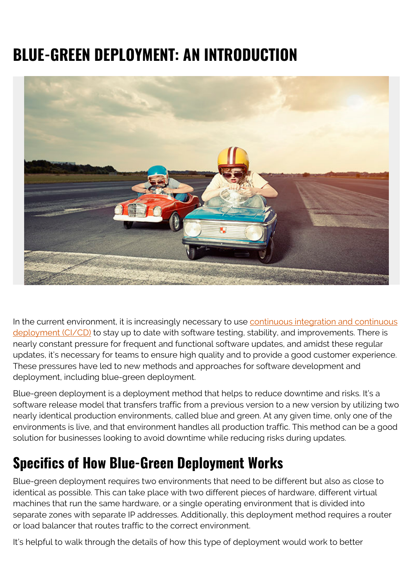## **BLUE-GREEN DEPLOYMENT: AN INTRODUCTION**



In the current environment, it is increasingly necessary to use [continuous integration and continuous](https://blogs.bmc.com/blogs/devops-continuous-integration-delivery-deployment/) [deployment \(CI/CD\)](https://blogs.bmc.com/blogs/devops-continuous-integration-delivery-deployment/) to stay up to date with software testing, stability, and improvements. There is nearly constant pressure for frequent and functional software updates, and amidst these regular updates, it's necessary for teams to ensure high quality and to provide a good customer experience. These pressures have led to new methods and approaches for software development and deployment, including blue-green deployment.

Blue-green deployment is a deployment method that helps to reduce downtime and risks. It's a software release model that transfers traffic from a previous version to a new version by utilizing two nearly identical production environments, called blue and green. At any given time, only one of the environments is live, and that environment handles all production traffic. This method can be a good solution for businesses looking to avoid downtime while reducing risks during updates.

## **Specifics of How Blue-Green Deployment Works**

Blue-green deployment requires two environments that need to be different but also as close to identical as possible. This can take place with two different pieces of hardware, different virtual machines that run the same hardware, or a single operating environment that is divided into separate zones with separate IP addresses. Additionally, this deployment method requires a router or load balancer that routes traffic to the correct environment.

It's helpful to walk through the details of how this type of deployment would work to better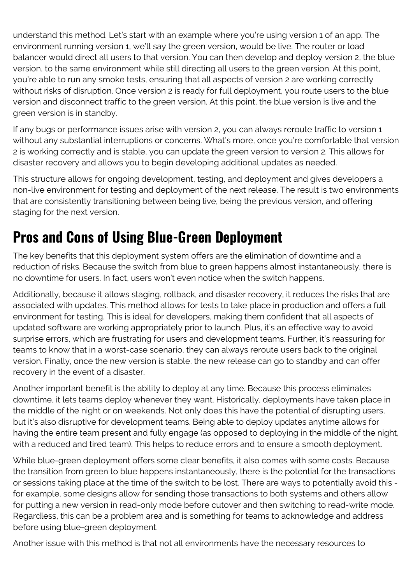understand this method. Let's start with an example where you're using version 1 of an app. The environment running version 1, we'll say the green version, would be live. The router or load balancer would direct all users to that version. You can then develop and deploy version 2, the blue version, to the same environment while still directing all users to the green version. At this point, you're able to run any smoke tests, ensuring that all aspects of version 2 are working correctly without risks of disruption. Once version 2 is ready for full deployment, you route users to the blue version and disconnect traffic to the green version. At this point, the blue version is live and the green version is in standby.

If any bugs or performance issues arise with version 2, you can always reroute traffic to version 1 without any substantial interruptions or concerns. What's more, once you're comfortable that version 2 is working correctly and is stable, you can update the green version to version 2. This allows for disaster recovery and allows you to begin developing additional updates as needed.

This structure allows for ongoing development, testing, and deployment and gives developers a non-live environment for testing and deployment of the next release. The result is two environments that are consistently transitioning between being live, being the previous version, and offering staging for the next version.

## **Pros and Cons of Using Blue-Green Deployment**

The key benefits that this deployment system offers are the elimination of downtime and a reduction of risks. Because the switch from blue to green happens almost instantaneously, there is no downtime for users. In fact, users won't even notice when the switch happens.

Additionally, because it allows staging, rollback, and disaster recovery, it reduces the risks that are associated with updates. This method allows for tests to take place in production and offers a full environment for testing. This is ideal for developers, making them confident that all aspects of updated software are working appropriately prior to launch. Plus, it's an effective way to avoid surprise errors, which are frustrating for users and development teams. Further, it's reassuring for teams to know that in a worst-case scenario, they can always reroute users back to the original version. Finally, once the new version is stable, the new release can go to standby and can offer recovery in the event of a disaster.

Another important benefit is the ability to deploy at any time. Because this process eliminates downtime, it lets teams deploy whenever they want. Historically, deployments have taken place in the middle of the night or on weekends. Not only does this have the potential of disrupting users, but it's also disruptive for development teams. Being able to deploy updates anytime allows for having the entire team present and fully engage (as opposed to deploying in the middle of the night, with a reduced and tired team). This helps to reduce errors and to ensure a smooth deployment.

While blue-green deployment offers some clear benefits, it also comes with some costs. Because the transition from green to blue happens instantaneously, there is the potential for the transactions or sessions taking place at the time of the switch to be lost. There are ways to potentially avoid this for example, some designs allow for sending those transactions to both systems and others allow for putting a new version in read-only mode before cutover and then switching to read-write mode. Regardless, this can be a problem area and is something for teams to acknowledge and address before using blue-green deployment.

Another issue with this method is that not all environments have the necessary resources to